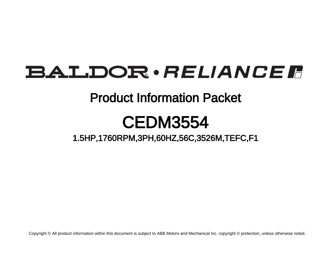# **BALDOR** · RELIANCE F

### Product Information Packet

## CEDM3554

1.5HP,1760RPM,3PH,60HZ,56C,3526M,TEFC,F1

Copyright © All product information within this document is subject to ABB Motors and Mechanical Inc. copyright © protection, unless otherwise noted.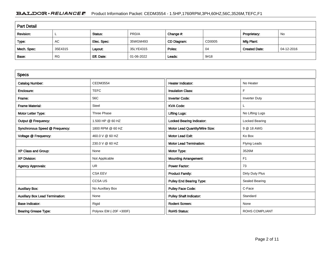#### BALDOR · RELIANCE F Product Information Packet: CEDM3554 - 1.5HP,1760RPM,3PH,60HZ,56C,3526M,TEFC,F1

| <b>Part Detail</b> |           |             |            |             |        |                      |            |  |
|--------------------|-----------|-------------|------------|-------------|--------|----------------------|------------|--|
| Revision:          |           | Status:     | PRD/A      | Change #:   |        | Proprietary:         | No         |  |
| Type:              | AC        | Elec. Spec: | 35WGM493   | CD Diagram: | CD0005 | Mfg Plant:           |            |  |
| Mech. Spec:        | 35E4315   | Layout:     | 35LYE4315  | Poles:      | 04     | <b>Created Date:</b> | 04-12-2016 |  |
| Base:              | <b>RG</b> | Eff. Date:  | 01-06-2022 | Leads:      | 9#18   |                      |            |  |

| <b>Specs</b>                           |                         |                                 |                       |
|----------------------------------------|-------------------------|---------------------------------|-----------------------|
| <b>Catalog Number:</b>                 | <b>CEDM3554</b>         | Heater Indicator:               | No Heater             |
| Enclosure:                             | <b>TEFC</b>             | <b>Insulation Class:</b>        | F                     |
| Frame:                                 | 56C                     | <b>Inverter Code:</b>           | <b>Inverter Duty</b>  |
| <b>Frame Material:</b>                 | Steel                   | <b>KVA Code:</b>                |                       |
| Motor Letter Type:                     | Three Phase             | <b>Lifting Lugs:</b>            | No Lifting Lugs       |
| Output @ Frequency:                    | 1.500 HP @ 60 HZ        | Locked Bearing Indicator:       | Locked Bearing        |
| Synchronous Speed @ Frequency:         | 1800 RPM @ 60 HZ        | Motor Lead Quantity/Wire Size:  | 9 @ 18 AWG            |
| Voltage @ Frequency:                   | 460.0 V @ 60 HZ         | <b>Motor Lead Exit:</b>         | Ko Box                |
|                                        | 230.0 V @ 60 HZ         | <b>Motor Lead Termination:</b>  | <b>Flying Leads</b>   |
| XP Class and Group:                    | None                    | Motor Type:                     | 3526M                 |
| <b>XP Division:</b>                    | Not Applicable          | <b>Mounting Arrangement:</b>    | F <sub>1</sub>        |
| <b>Agency Approvals:</b>               | <b>UR</b>               | Power Factor:                   | 73                    |
|                                        | <b>CSA EEV</b>          | <b>Product Family:</b>          | Dirty Duty Plus       |
|                                        | <b>CCSAUS</b>           | <b>Pulley End Bearing Type:</b> | Sealed Bearing        |
| <b>Auxillary Box:</b>                  | No Auxillary Box        | <b>Pulley Face Code:</b>        | C-Face                |
| <b>Auxillary Box Lead Termination:</b> | None                    | <b>Pulley Shaft Indicator:</b>  | Standard              |
| <b>Base Indicator:</b>                 | Rigid                   | <b>Rodent Screen:</b>           | None                  |
| <b>Bearing Grease Type:</b>            | Polyrex EM (-20F +300F) | <b>RoHS Status:</b>             | <b>ROHS COMPLIANT</b> |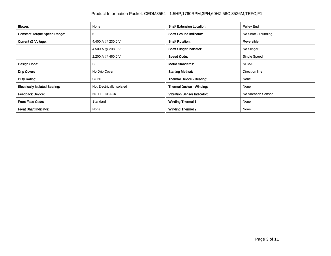| Blower:                               | None                      | <b>Shaft Extension Location:</b>   | Pulley End          |  |
|---------------------------------------|---------------------------|------------------------------------|---------------------|--|
| <b>Constant Torque Speed Range:</b>   | 6                         |                                    | No Shaft Grounding  |  |
| Current @ Voltage:                    | 4.400 A @ 230.0 V         | <b>Shaft Rotation:</b>             | Reversible          |  |
|                                       | 4.500 A @ 208.0 V         | <b>Shaft Slinger Indicator:</b>    | No Slinger          |  |
|                                       | 2.200 A @ 460.0 V         | <b>Speed Code:</b>                 | Single Speed        |  |
| Design Code:                          | в                         | <b>Motor Standards:</b>            | <b>NEMA</b>         |  |
| Drip Cover:                           | No Drip Cover             | <b>Starting Method:</b>            | Direct on line      |  |
| Duty Rating:                          | <b>CONT</b>               | Thermal Device - Bearing:          | None                |  |
| <b>Electrically Isolated Bearing:</b> | Not Electrically Isolated | <b>Thermal Device - Winding:</b>   | None                |  |
| <b>Feedback Device:</b>               | <b>NO FEEDBACK</b>        | <b>Vibration Sensor Indicator:</b> | No Vibration Sensor |  |
| <b>Front Face Code:</b>               | Standard                  | <b>Winding Thermal 1:</b>          | None                |  |
| Front Shaft Indicator:                | None                      | <b>Winding Thermal 2:</b>          | None                |  |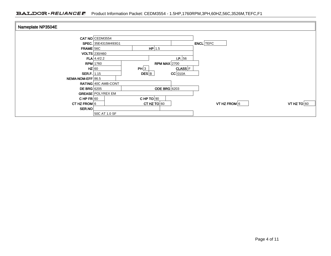| Nameplate NP3504E    |                            |                     |             |                  |               |
|----------------------|----------------------------|---------------------|-------------|------------------|---------------|
|                      |                            |                     |             |                  |               |
|                      | CAT NO CEDM3554            |                     |             |                  |               |
|                      | SPEC. 35E4315M493G1        |                     |             | <b>ENCL</b> TEFC |               |
| $FRAME$ 56C          |                            | $HP$ 1.5            |             |                  |               |
|                      | VOLTS 230/460              |                     |             |                  |               |
|                      | $FLA$ 4.4/2.2              |                     | I.P.56      |                  |               |
|                      | <b>RPM</b> 1760            | RPM MAX $2700$      |             |                  |               |
| $HZ$ 60              |                            | PH 3                | $CLASS$ $F$ |                  |               |
| <b>SER.F.</b> $1.15$ |                            | DES B               | $CC$ 010A   |                  |               |
| NEMA-NOM-EFF 86.5    |                            |                     |             |                  |               |
|                      | <b>RATING 40C AMB-CONT</b> |                     |             |                  |               |
| <b>DE BRG</b> 6205   |                            | <b>ODE BRG</b> 6203 |             |                  |               |
|                      | <b>GREASE POLYREX EM</b>   |                     |             |                  |               |
| CHP $FR$ 60          |                            | CHP TO $90$         |             |                  |               |
| CT HZ FROM $6$       |                            | CT HZ TO $60$       |             | VT HZ FROM 6     | VT HZ TO $60$ |
| SER.NO               |                            |                     |             |                  |               |
|                      | 50C AT 1.0 SF              |                     |             |                  |               |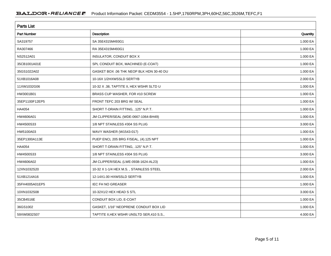| <b>Parts List</b>  |                                            |          |  |  |  |  |
|--------------------|--------------------------------------------|----------|--|--|--|--|
| <b>Part Number</b> | Description                                | Quantity |  |  |  |  |
| SA319757           | SA 35E4315M493G1                           | 1.000 EA |  |  |  |  |
| RA307466           | RA 35E4315M493G1                           | 1.000 EA |  |  |  |  |
| NS2512A01          | INSULATOR, CONDUIT BOX X                   | 1.000 EA |  |  |  |  |
| 35CB1001A01E       | SPL CONDUIT BOX, MACHINED (E-COAT)         | 1.000 EA |  |  |  |  |
| 35GS1022A02        | GASKET BOX .06 THK NEOP BLK HDN 30-40 DU   | 1.000 EA |  |  |  |  |
| 51XB1016A08        | 10-16X 1/2HXWSSLD SERTYB                   | 2.000 EA |  |  |  |  |
| 11XW1032G06        | 10-32 X .38, TAPTITE II, HEX WSHR SLTD U   | 1.000 EA |  |  |  |  |
| HW3001B01          | BRASS CUP WASHER, FOR #10 SCREW            | 1.000 EA |  |  |  |  |
| 35EP1100F12EP5     | FRONT TEFC 203 BRG W/ SEAL                 | 1.000 EA |  |  |  |  |
| HA4054             | SHORT T-DRAIN FITTING, .125" N.P.T.        | 1.000 EA |  |  |  |  |
| HW4606A01          | JM CLIPPER/SEAL (WDE-0667-1064-BH49)       | 1.000 EA |  |  |  |  |
| HW4500S33          | 1/8 NPT STAINLESS #304 SS PLUG             | 3.000 EA |  |  |  |  |
| HW5100A03          | WAVY WASHER (W1543-017)                    | 1.000 EA |  |  |  |  |
| 35EP1300A113E      | PUEP ENCL 205 BRG F/SEAL, (4).125 NPT      | 1.000 EA |  |  |  |  |
| HA4054             | SHORT T-DRAIN FITTING, .125" N.P.T.        | 1.000 EA |  |  |  |  |
| HW4500S33          | 1/8 NPT STAINLESS #304 SS PLUG             | 3.000 EA |  |  |  |  |
| HW4606A02          | JM CLIPPER/SEAL (LWE-0938-1624-AL23)       | 1.000 EA |  |  |  |  |
| 12XN1032S20        | 10-32 X 1-1/4 HEX M.S., STAINLESS STEEL    | 2.000 EA |  |  |  |  |
| 51XB1214A16        | 12-14X1.00 HXWSSLD SERTYB                  | 1.000 EA |  |  |  |  |
| 35FH4005A01EP5     | <b>IEC FH NO GREASER</b>                   | 1.000 EA |  |  |  |  |
| 10XN1032S08        | 10-32X1/2 HEX HEAD S STL                   | 3.000 EA |  |  |  |  |
| 35CB4516E          | CONDUIT BOX LID, E-COAT                    | 1.000 EA |  |  |  |  |
| 36GS1002           | GASKET, 1/16" NEOPRENE CONDUIT BOX LID     | 1.000 EA |  |  |  |  |
| 59XW0832S07        | TAPTITE II, HEX WSHR UNSLTD SER, 410 S.S., | 4.000 EA |  |  |  |  |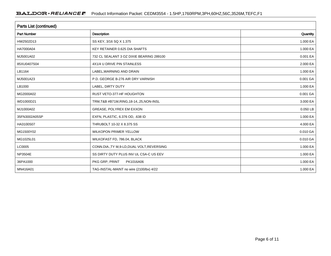| <b>Parts List (continued)</b> |                                             |          |  |  |  |  |
|-------------------------------|---------------------------------------------|----------|--|--|--|--|
| <b>Part Number</b>            | Description                                 | Quantity |  |  |  |  |
| HW2502D13                     | SS KEY, 3/16 SQ X 1.375                     | 1.000 EA |  |  |  |  |
| HA7000A04                     | KEY RETAINER 0.625 DIA SHAFTS               | 1.000 EA |  |  |  |  |
| MJ5001A02                     | 732 CL SEALANT 3 OZ DIXIE BEARING 289100    | 0.001 EA |  |  |  |  |
| 85XU0407S04                   | 4X1/4 U DRIVE PIN STAINLESS                 | 2.000 EA |  |  |  |  |
| LB1164                        | LABEL, WARNING AND DRAIN                    | 1.000 EA |  |  |  |  |
| MJ5001A23                     | P.D. GEORGE B-276 AIR DRY VARNISH           | 0.001 GA |  |  |  |  |
| LB1000                        | LABEL, DIRTY DUTY                           | 1.000 EA |  |  |  |  |
| MG2000A02                     | RUST VETO-377-HF HOUGHTON                   | 0.001 GA |  |  |  |  |
| WD1000D21                     | TRM, T&B #B71M, RING, 18-14, .25, NON-INSL  | 3.000 EA |  |  |  |  |
| MJ1000A02                     | GREASE, POLYREX EM EXXON                    | 0.050 LB |  |  |  |  |
| 35FN3002A05SP                 | EXFN, PLASTIC, 6.376 OD, .638 ID            | 1.000 EA |  |  |  |  |
| HA3100S07                     | THRUBOLT 10-32 X 8.375 SS                   | 4.000 EA |  |  |  |  |
| MG1500Y02                     | WILKOPON PRIMER YELLOW                      | 0.010 GA |  |  |  |  |
| MG1025L01                     | WILKOFAST FD, 786.04, BLACK                 | 0.010 GA |  |  |  |  |
| LC0005                        | CONN.DIA., TY M, 9-LD, DUAL VOLT, REVERSING | 1.000 EA |  |  |  |  |
| NP3504E                       | SS DIRTY DUTY PLUS INV UL CSA-C US EEV      | 1.000 EA |  |  |  |  |
| 36PA1000                      | PKG GRP, PRINT<br>PK1016A06                 | 1.000 EA |  |  |  |  |
| MN416A01                      | TAG-INSTAL-MAINT no wire (2100/bx) 4/22     | 1.000 EA |  |  |  |  |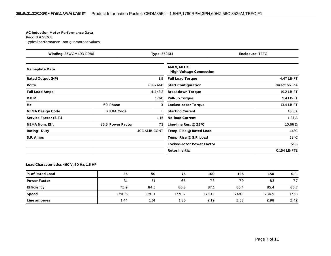#### **AC Induction Motor Performance Data**

Record # 55768Typical performance - not guaranteed values

| Winding: 35WGM493-R086<br>Type: 3526M |                   | <b>Enclosure: TEFC</b> |                                                 |                 |
|---------------------------------------|-------------------|------------------------|-------------------------------------------------|-----------------|
| <b>Nameplate Data</b>                 |                   |                        | 460 V, 60 Hz:<br><b>High Voltage Connection</b> |                 |
| <b>Rated Output (HP)</b>              |                   | 1.5                    | <b>Full Load Torque</b>                         | 4.47 LB-FT      |
| <b>Volts</b>                          |                   | 230/460                | <b>Start Configuration</b>                      | direct on line  |
| <b>Full Load Amps</b>                 |                   | 4.4/2.2                | <b>Breakdown Torque</b>                         | 19.2 LB-FT      |
| <b>R.P.M.</b>                         |                   | 1760                   | <b>Pull-up Torque</b>                           | 9.4 LB-FT       |
| Hz                                    | 60 Phase          | 3                      | <b>Locked-rotor Torque</b>                      | 13.4 LB-FT      |
| <b>NEMA Design Code</b>               | <b>B KVA Code</b> |                        | <b>Starting Current</b>                         | 18.3 A          |
| Service Factor (S.F.)                 |                   | 1.15                   | <b>No-load Current</b>                          | 1.37A           |
| <b>NEMA Nom. Eff.</b>                 | 86.5 Power Factor | 73                     | Line-line Res. $@$ 25 <sup>o</sup> C            | $10.66\ \Omega$ |
| <b>Rating - Duty</b>                  |                   | 40C AMB-CONT           | Temp. Rise @ Rated Load                         | $44^{\circ}$ C  |
| S.F. Amps                             |                   |                        | Temp. Rise @ S.F. Load                          | $53^{\circ}$ C  |
|                                       |                   |                        | <b>Locked-rotor Power Factor</b>                | 51.5            |
|                                       |                   |                        | <b>Rotor inertia</b>                            | 0.154 LB-FT2    |

**Load Characteristics 460 V, 60 Hz, 1.5 HP**

| % of Rated Load     | 25     | 50     | 75     | 100    | 125    | 150    | S.F. |
|---------------------|--------|--------|--------|--------|--------|--------|------|
| <b>Power Factor</b> | 31     | 51     | 65     | 73     | 79     | 83     | 77   |
| <b>Efficiency</b>   | 75.9   | 84.5   | 86.8   | 87.1   | 86.4   | 85.4   | 86.7 |
| <b>Speed</b>        | 1790.6 | 1781.1 | 1770.7 | 1760.1 | 1748.1 | 1734.9 | 1753 |
| Line amperes        | 1.44   | 1.61   | 1.86   | 2.19   | 2.58   | 2.98   | 2.42 |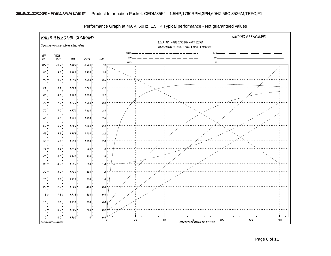

Performance Graph at 460V, 60Hz, 1.5HP Typical performance - Not guaranteed values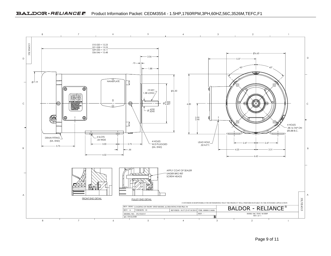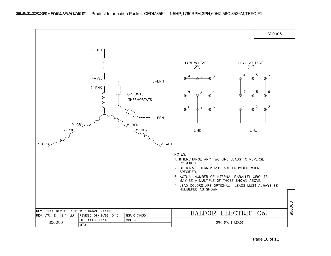